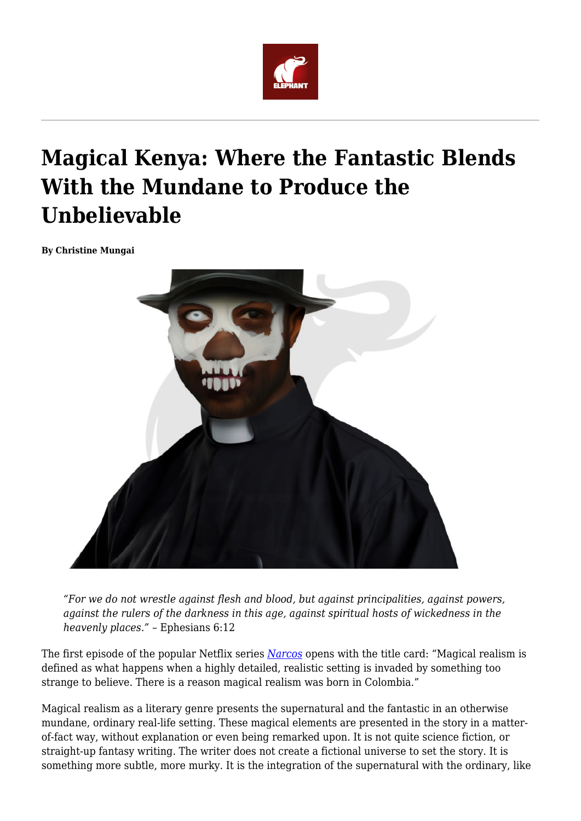

# **Magical Kenya: Where the Fantastic Blends With the Mundane to Produce the Unbelievable**

**By Christine Mungai**



*"For we do not wrestle against flesh and blood, but against principalities, against powers, against the rulers of the darkness in this age, against spiritual hosts of wickedness in the heavenly places." –* Ephesians 6:12

The first episode of the popular Netflix series *[Narcos](https://en.wikipedia.org/wiki/Narcos)* opens with the title card: "Magical realism is defined as what happens when a highly detailed, realistic setting is invaded by something too strange to believe. There is a reason magical realism was born in Colombia."

Magical realism as a literary genre presents the supernatural and the fantastic in an otherwise mundane, ordinary real-life setting. These magical elements are presented in the story in a matterof-fact way, without explanation or even being remarked upon. It is not quite science fiction, or straight-up fantasy writing. The writer does not create a fictional universe to set the story. It is something more subtle, more murky. It is the integration of the supernatural with the ordinary, like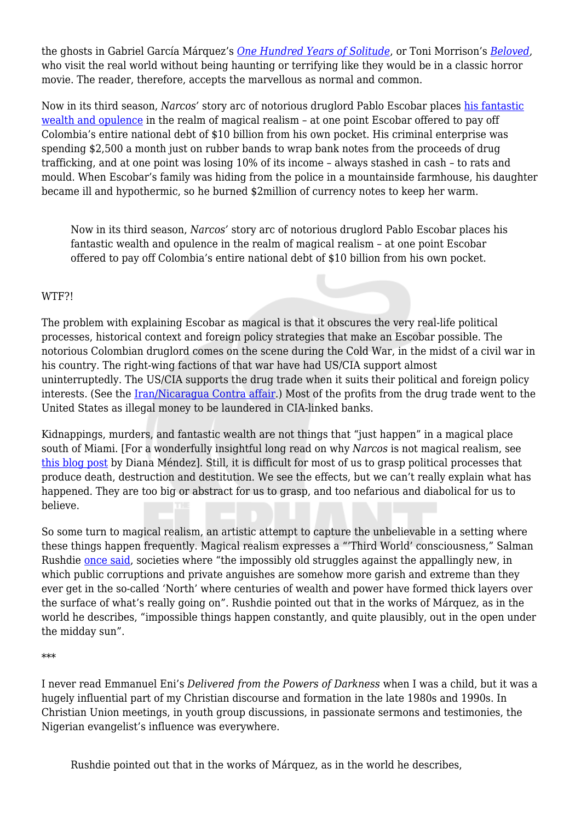the ghosts in Gabriel García Márquez's *[One Hundred Years of Solitude](https://en.wikipedia.org/wiki/One_Hundred_Years_of_Solitude)*, or Toni Morrison's *[Beloved](https://en.wikipedia.org/wiki/Beloved_(novel))*, who visit the real world without being haunting or terrifying like they would be in a classic horror movie. The reader, therefore, accepts the marvellous as normal and common.

Now in its third season, *Narcos'* story arc of notorious druglord Pablo Escobar places [his fantastic](https://www.unbelievable-facts.com/2016/05/facts-about-pablo-escobar.html) [wealth and opulence](https://www.unbelievable-facts.com/2016/05/facts-about-pablo-escobar.html) in the realm of magical realism - at one point Escobar offered to pay off Colombia's entire national debt of \$10 billion from his own pocket. His criminal enterprise was spending \$2,500 a month just on rubber bands to wrap bank notes from the proceeds of drug trafficking, and at one point was losing 10% of its income – always stashed in cash – to rats and mould. When Escobar's family was hiding from the police in a mountainside farmhouse, his daughter became ill and hypothermic, so he burned \$2million of currency notes to keep her warm.

Now in its third season, *Narcos'* story arc of notorious druglord Pablo Escobar places his fantastic wealth and opulence in the realm of magical realism – at one point Escobar offered to pay off Colombia's entire national debt of \$10 billion from his own pocket.

## WTF?!

The problem with explaining Escobar as magical is that it obscures the very real-life political processes, historical context and foreign policy strategies that make an Escobar possible. The notorious Colombian druglord comes on the scene during the Cold War, in the midst of a civil war in his country. The right-wing factions of that war have had US/CIA support almost uninterruptedly. The US/CIA supports the drug trade when it suits their political and foreign policy interests. (See the [Iran/Nicaragua Contra affair](https://en.wikipedia.org/wiki/Iran%E2%80%93Contra_affair).) Most of the profits from the drug trade went to the United States as illegal money to be laundered in CIA-linked banks.

Kidnappings, murders, and fantastic wealth are not things that "just happen" in a magical place south of Miami. [For a wonderfully insightful long read on why *Narcos* is not magical realism, see [this blog post](http://www.latinorebels.com/2016/04/30/narcos-and-why-its-not-magical-realism/) by Diana Méndez]. Still, it is difficult for most of us to grasp political processes that produce death, destruction and destitution. We see the effects, but we can't really explain what has happened. They are too big or abstract for us to grasp, and too nefarious and diabolical for us to believe.

So some turn to magical realism, an artistic attempt to capture the unbelievable in a setting where these things happen frequently. Magical realism expresses a "'Third World' consciousness," Salman Rushdie [once said,](https://www.jesperjuul.net/ludologist/2014/08/13/are-game-experiments-apolitical/) societies where "the impossibly old struggles against the appallingly new, in which public corruptions and private anguishes are somehow more garish and extreme than they ever get in the so-called 'North' where centuries of wealth and power have formed thick layers over the surface of what's really going on". Rushdie pointed out that in the works of Márquez, as in the world he describes, "impossible things happen constantly, and quite plausibly, out in the open under the midday sun".

\*\*\*

I never read Emmanuel Eni's *Delivered from the Powers of Darkness* when I was a child, but it was a hugely influential part of my Christian discourse and formation in the late 1980s and 1990s. In Christian Union meetings, in youth group discussions, in passionate sermons and testimonies, the Nigerian evangelist's influence was everywhere.

Rushdie pointed out that in the works of Márquez, as in the world he describes,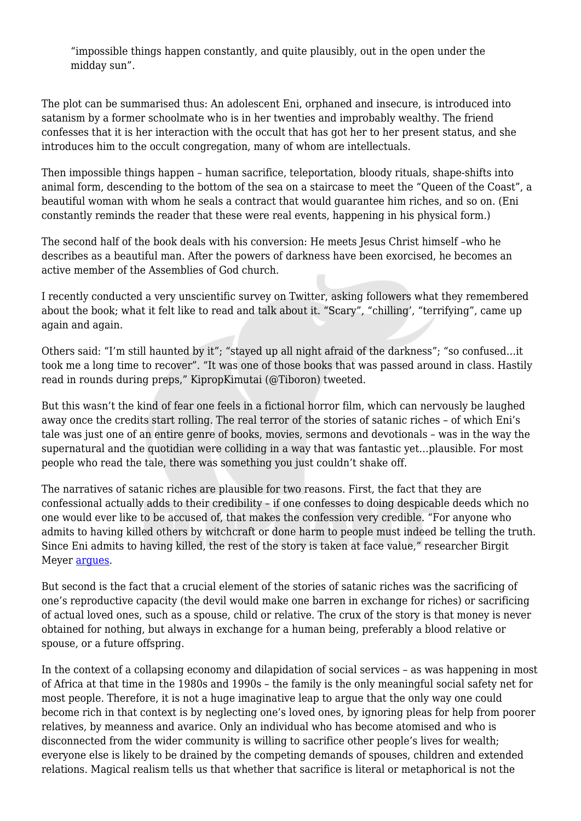"impossible things happen constantly, and quite plausibly, out in the open under the midday sun".

The plot can be summarised thus: An adolescent Eni, orphaned and insecure, is introduced into satanism by a former schoolmate who is in her twenties and improbably wealthy. The friend confesses that it is her interaction with the occult that has got her to her present status, and she introduces him to the occult congregation, many of whom are intellectuals.

Then impossible things happen – human sacrifice, teleportation, bloody rituals, shape-shifts into animal form, descending to the bottom of the sea on a staircase to meet the "Queen of the Coast", a beautiful woman with whom he seals a contract that would guarantee him riches, and so on. (Eni constantly reminds the reader that these were real events, happening in his physical form.)

The second half of the book deals with his conversion: He meets Jesus Christ himself –who he describes as a beautiful man. After the powers of darkness have been exorcised, he becomes an active member of the Assemblies of God church.

I recently conducted a very unscientific survey on Twitter, asking followers what they remembered about the book; what it felt like to read and talk about it. "Scary", "chilling', "terrifying", came up again and again.

Others said: "I'm still haunted by it"; "stayed up all night afraid of the darkness"; "so confused…it took me a long time to recover". "It was one of those books that was passed around in class. Hastily read in rounds during preps," KipropKimutai (@Tiboron) tweeted.

But this wasn't the kind of fear one feels in a fictional horror film, which can nervously be laughed away once the credits start rolling. The real terror of the stories of satanic riches – of which Eni's tale was just one of an entire genre of books, movies, sermons and devotionals – was in the way the supernatural and the quotidian were colliding in a way that was fantastic yet…plausible. For most people who read the tale, there was something you just couldn't shake off.

The narratives of satanic riches are plausible for two reasons. First, the fact that they are confessional actually adds to their credibility – if one confesses to doing despicable deeds which no one would ever like to be accused of, that makes the confession very credible. "For anyone who admits to having killed others by witchcraft or done harm to people must indeed be telling the truth. Since Eni admits to having killed, the rest of the story is taken at face value," researcher Birgit Meyer [argues](https://www.researchgate.net/publication/231984378_%27Delivered_from_the_Powers_of_Darkness%27_Confessions_of_Satanic_Riches_in_Christian_Ghana).

But second is the fact that a crucial element of the stories of satanic riches was the sacrificing of one's reproductive capacity (the devil would make one barren in exchange for riches) or sacrificing of actual loved ones, such as a spouse, child or relative. The crux of the story is that money is never obtained for nothing, but always in exchange for a human being, preferably a blood relative or spouse, or a future offspring.

In the context of a collapsing economy and dilapidation of social services – as was happening in most of Africa at that time in the 1980s and 1990s – the family is the only meaningful social safety net for most people. Therefore, it is not a huge imaginative leap to argue that the only way one could become rich in that context is by neglecting one's loved ones, by ignoring pleas for help from poorer relatives, by meanness and avarice. Only an individual who has become atomised and who is disconnected from the wider community is willing to sacrifice other people's lives for wealth; everyone else is likely to be drained by the competing demands of spouses, children and extended relations. Magical realism tells us that whether that sacrifice is literal or metaphorical is not the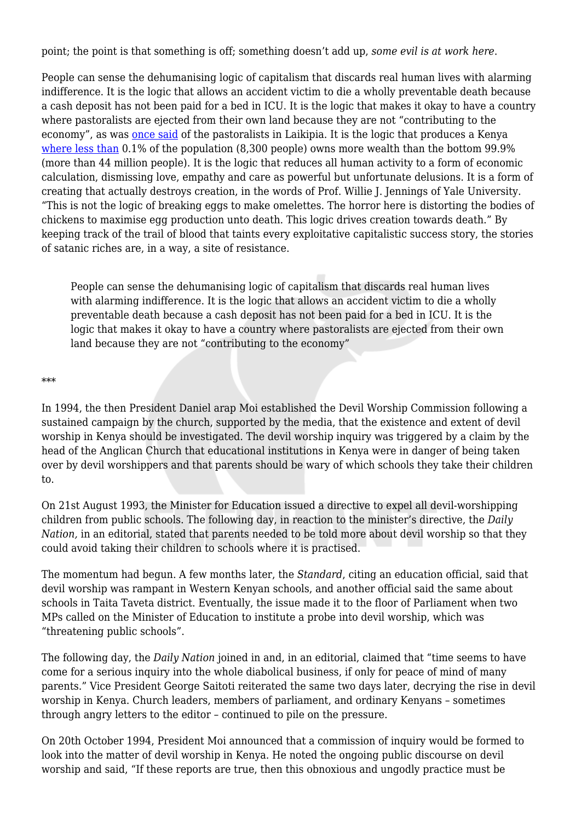point; the point is that something is off; something doesn't add up, *some evil is at work here*.

People can sense the dehumanising logic of capitalism that discards real human lives with alarming indifference. It is the logic that allows an accident victim to die a wholly preventable death because a cash deposit has not been paid for a bed in ICU. It is the logic that makes it okay to have a country where pastoralists are ejected from their own land because they are not "contributing to the economy", as was [once said](https://globalvoices.org/2017/06/24/in-a-guardian-story-about-an-environmental-conflict-in-kenya-the-white-saviour-rides-again/) of the pastoralists in Laikipia. It is the logic that produces a Kenya [where less than](https://www.oxfam.org/en/even-it/kenya-extreme-inequality-numbers) 0.1% of the population (8,300 people) owns more wealth than the bottom 99.9% (more than 44 million people). It is the logic that reduces all human activity to a form of economic calculation, dismissing love, empathy and care as powerful but unfortunate delusions. It is a form of creating that actually destroys creation, in the words of Prof. Willie J. Jennings of Yale University. "This is not the logic of breaking eggs to make omelettes. The horror here is distorting the bodies of chickens to maximise egg production unto death. This logic drives creation towards death." By keeping track of the trail of blood that taints every exploitative capitalistic success story, the stories of satanic riches are, in a way, a site of resistance.

People can sense the dehumanising logic of capitalism that discards real human lives with alarming indifference. It is the logic that allows an accident victim to die a wholly preventable death because a cash deposit has not been paid for a bed in ICU. It is the logic that makes it okay to have a country where pastoralists are ejected from their own land because they are not "contributing to the economy"

#### \*\*\*

In 1994, the then President Daniel arap Moi established the Devil Worship Commission following a sustained campaign by the church, supported by the media, that the existence and extent of devil worship in Kenya should be investigated. The devil worship inquiry was triggered by a claim by the head of the Anglican Church that educational institutions in Kenya were in danger of being taken over by devil worshippers and that parents should be wary of which schools they take their children to.

On 21st August 1993, the Minister for Education issued a directive to expel all devil-worshipping children from public schools. The following day, in reaction to the minister's directive, the *Daily Nation,* in an editorial, stated that parents needed to be told more about devil worship so that they could avoid taking their children to schools where it is practised.

The momentum had begun. A few months later, the *Standard*, citing an education official, said that devil worship was rampant in Western Kenyan schools, and another official said the same about schools in Taita Taveta district. Eventually, the issue made it to the floor of Parliament when two MPs called on the Minister of Education to institute a probe into devil worship, which was "threatening public schools".

The following day, the *Daily Nation* joined in and, in an editorial, claimed that "time seems to have come for a serious inquiry into the whole diabolical business, if only for peace of mind of many parents." Vice President George Saitoti reiterated the same two days later, decrying the rise in devil worship in Kenya. Church leaders, members of parliament, and ordinary Kenyans – sometimes through angry letters to the editor – continued to pile on the pressure.

On 20th October 1994, President Moi announced that a commission of inquiry would be formed to look into the matter of devil worship in Kenya. He noted the ongoing public discourse on devil worship and said, "If these reports are true, then this obnoxious and ungodly practice must be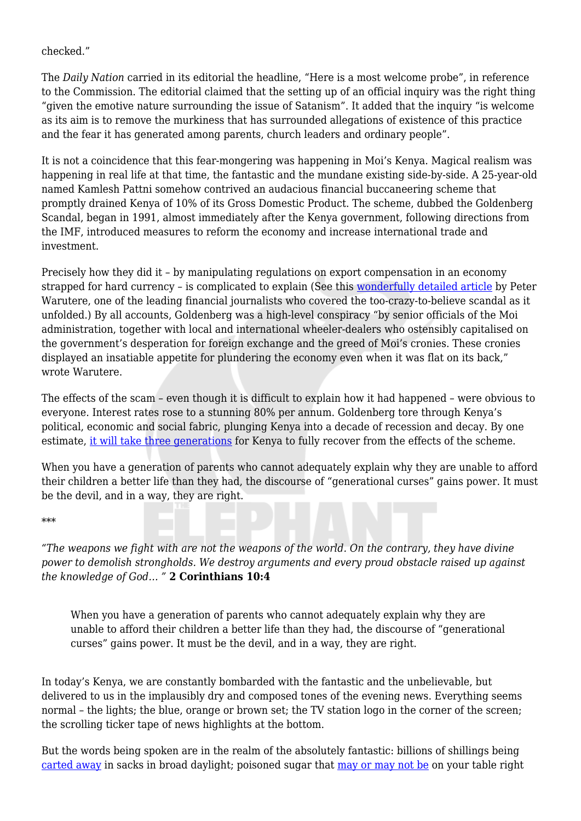## checked."

The *Daily Nation* carried in its editorial the headline, "Here is a most welcome probe", in reference to the Commission. The editorial claimed that the setting up of an official inquiry was the right thing "given the emotive nature surrounding the issue of Satanism". It added that the inquiry "is welcome as its aim is to remove the murkiness that has surrounded allegations of existence of this practice and the fear it has generated among parents, church leaders and ordinary people".

It is not a coincidence that this fear-mongering was happening in Moi's Kenya. Magical realism was happening in real life at that time, the fantastic and the mundane existing side-by-side. A 25-year-old named Kamlesh Pattni somehow contrived an audacious financial buccaneering scheme that promptly drained Kenya of 10% of its Gross Domestic Product. The scheme, dubbed the Goldenberg Scandal, began in 1991, almost immediately after the Kenya government, following directions from the IMF, introduced measures to reform the economy and increase international trade and investment.

Precisely how they did it – by manipulating regulations on export compensation in an economy strapped for hard currency – is complicated to explain (See this [wonderfully detailed article](https://oldsite.issafrica.org/uploads/Paper117.pdf) by Peter Warutere, one of the leading financial journalists who covered the too-crazy-to-believe scandal as it unfolded.) By all accounts, Goldenberg was a high-level conspiracy "by senior officials of the Moi administration, together with local and international wheeler-dealers who ostensibly capitalised on the government's desperation for foreign exchange and the greed of Moi's cronies. These cronies displayed an insatiable appetite for plundering the economy even when it was flat on its back," wrote Warutere.

The effects of the scam – even though it is difficult to explain how it had happened – were obvious to everyone. Interest rates rose to a stunning 80% per annum. Goldenberg tore through Kenya's political, economic and social fabric, plunging Kenya into a decade of recession and decay. By one estimate, [it will take three generations](https://www.nation.co.ke/news/How-Goldenberg-scandal-was-hatched-and-executed-/1056-1628532-8k2yos/index.html) for Kenya to fully recover from the effects of the scheme.

When you have a generation of parents who cannot adequately explain why they are unable to afford their children a better life than they had, the discourse of "generational curses" gains power. It must be the devil, and in a way, they are right.

### \*\*\*

*"The weapons we fight with are not the weapons of the world. On the contrary, they have divine power to demolish strongholds. We destroy arguments and every proud obstacle raised up against the knowledge of God… "* **2 Corinthians 10:4**

When you have a generation of parents who cannot adequately explain why they are unable to afford their children a better life than they had, the discourse of "generational curses" gains power. It must be the devil, and in a way, they are right.

In today's Kenya, we are constantly bombarded with the fantastic and the unbelievable, but delivered to us in the implausibly dry and composed tones of the evening news. Everything seems normal – the lights; the blue, orange or brown set; the TV station logo in the corner of the screen; the scrolling ticker tape of news highlights at the bottom.

But the words being spoken are in the realm of the absolutely fantastic: billions of shillings being [carted away](https://www.businessdailyafrica.com/news/Kabura-took-out-sacks-of-cash-without-security/539546-3437948-ukq7txz/index.html) in sacks in broad daylight; poisoned sugar that [may or may not be](https://www.standardmedia.co.ke/article/2001289208/report-reveals-seized-sugar-contains-mercury) on your table right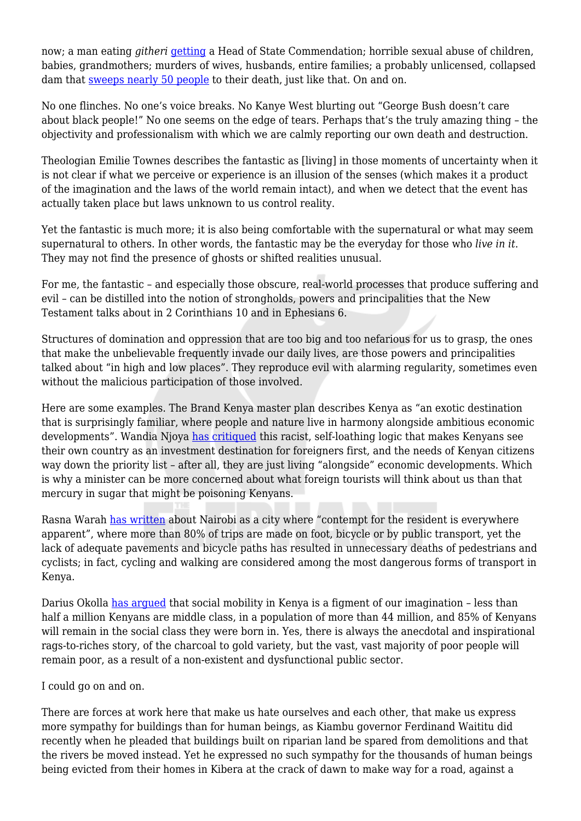now; a man eating *githeri* [getting](https://www.nation.co.ke/news/Mixed-fortunes-of-instant-fame-for--Githeri-Man--/1056-4697886-2mv69y/index.html) a Head of State Commendation; horrible sexual abuse of children, babies, grandmothers; murders of wives, husbands, entire families; a probably unlicensed, collapsed dam that [sweeps nearly 50 people](https://www.nation.co.ke/counties/nakuru/Damned-dams--Report-blames-State-for-Solai-tragedy/1183314-4651142-n3b004z/index.html) to their death, just like that. On and on.

No one flinches. No one's voice breaks. No Kanye West blurting out "George Bush doesn't care about black people!" No one seems on the edge of tears. Perhaps that's the truly amazing thing – the objectivity and professionalism with which we are calmly reporting our own death and destruction.

Theologian Emilie Townes describes the fantastic as [living] in those moments of uncertainty when it is not clear if what we perceive or experience is an illusion of the senses (which makes it a product of the imagination and the laws of the world remain intact), and when we detect that the event has actually taken place but laws unknown to us control reality.

Yet the fantastic is much more; it is also being comfortable with the supernatural or what may seem supernatural to others. In other words, the fantastic may be the everyday for those who *live in it*. They may not find the presence of ghosts or shifted realities unusual.

For me, the fantastic – and especially those obscure, real-world processes that produce suffering and evil – can be distilled into the notion of strongholds, powers and principalities that the New Testament talks about in 2 Corinthians 10 and in Ephesians 6.

Structures of domination and oppression that are too big and too nefarious for us to grasp, the ones that make the unbelievable frequently invade our daily lives, are those powers and principalities talked about "in high and low places". They reproduce evil with alarming regularity, sometimes even without the malicious participation of those involved.

Here are some examples. The Brand Kenya master plan describes Kenya as "an exotic destination that is surprisingly familiar, where people and nature live in harmony alongside ambitious economic developments". Wandia Njoya [has critiqued](https://www.theelephant.info/features/2018/08/16/invisible-citizens-branding-kenya-for-foreign-investors-and-tourists/) this racist, self-loathing logic that makes Kenyans see their own country as an investment destination for foreigners first, and the needs of Kenyan citizens way down the priority list – after all, they are just living "alongside" economic developments. Which is why a minister can be more concerned about what foreign tourists will think about us than that mercury in sugar that might be poisoning Kenyans.

Rasna Warah [has written](https://www.theelephant.info/features/2018/07/12/nairobi-a-city-in-which-contempt-for-the-resident-is-everywhere-apparent/) about Nairobi as a city where "contempt for the resident is everywhere apparent", where more than 80% of trips are made on foot, bicycle or by public transport, yet the lack of adequate pavements and bicycle paths has resulted in unnecessary deaths of pedestrians and cyclists; in fact, cycling and walking are considered among the most dangerous forms of transport in Kenya.

Darius Okolla [has argued](https://www.nairobicool.com/index.php/books-and-review/285-the-myth-of-meritocracy-and-social-mobility) that social mobility in Kenya is a figment of our imagination – less than half a million Kenyans are middle class, in a population of more than 44 million, and 85% of Kenyans will remain in the social class they were born in. Yes, there is always the anecdotal and inspirational rags-to-riches story, of the charcoal to gold variety, but the vast, vast majority of poor people will remain poor, as a result of a non-existent and dysfunctional public sector.

I could go on and on.

There are forces at work here that make us hate ourselves and each other, that make us express more sympathy for buildings than for human beings, as Kiambu governor Ferdinand Waititu did recently when he pleaded that buildings built on riparian land be spared from demolitions and that the rivers be moved instead. Yet he expressed no such sympathy for the thousands of human beings being evicted from their homes in Kibera at the crack of dawn to make way for a road, against a